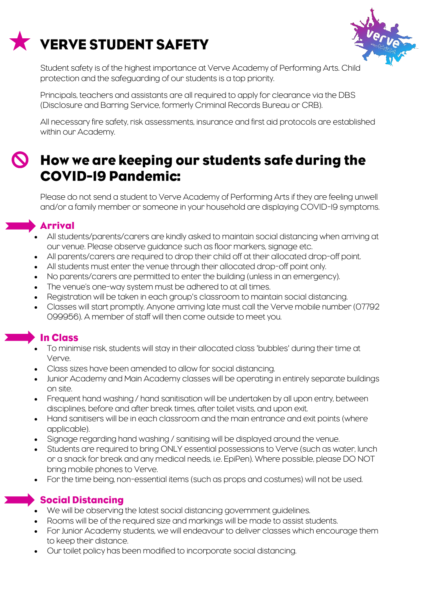# **VERVE STUDENT SAFETY**



Student safety is of the highest importance at Verve Academy of Performing Arts. Child protection and the safeguarding of our students is a top priority.

Principals, teachers and assistants are all required to apply for clearance via the DBS (Disclosure and Barring Service, formerly Criminal Records Bureau or CRB).

All necessary fire safety, risk assessments, insurance and first aid protocols are established within our Academy.

## How we are keeping our students safe during the **COVID-19 Pandemic:**

Please do not send a student to Verve Academy of Performing Arts if they are feeling unwell and/or a family member or someone in your household are displaying COVID-19 symptoms.

#### **Arrival**

- All students/parents/carers are kindly asked to maintain social distancing when arriving at our venue. Please observe guidance such as floor markers, signage etc.
- All parents/carers are required to drop their child off at their allocated drop-off point.
- All students must enter the venue through their allocated drop-off point only.
- No parents/carers are permitted to enter the building (unless in an emergency).
- The venue's one-way system must be adhered to at all times.
- Registration will be taken in each group's classroom to maintain social distancing.
- Classes will start promptly. Anyone arriving late must call the Verve mobile number (07792 099956). A member of staff will then come outside to meet you.

### **In Class**

- To minimise risk, students will stay in their allocated class 'bubbles' during their time at Verve.
- Class sizes have been amended to allow for social distancing.
- Junior Academy and Main Academy classes will be operating in entirely separate buildings on site.
- Frequent hand washing / hand sanitisation will be undertaken by all upon entry, between disciplines, before and after break times, after toilet visits, and upon exit.
- Hand sanitisers will be in each classroom and the main entrance and exit points (where applicable).
- Signage regarding hand washing / sanitising will be displayed around the venue.
- Students are required to bring ONLY essential possessions to Verve (such as water, lunch or a snack for break and any medical needs, i.e. EpiPen). Where possible, please DO NOT bring mobile phones to Verve.
- For the time being, non-essential items (such as props and costumes) will not be used.

#### Social Distancing

- We will be observing the latest social distancing government guidelines.
- Rooms will be of the required size and markings will be made to assist students.
- For Junior Academy students, we will endeavour to deliver classes which encourage them to keep their distance.
- Our toilet policy has been modified to incorporate social distancing.